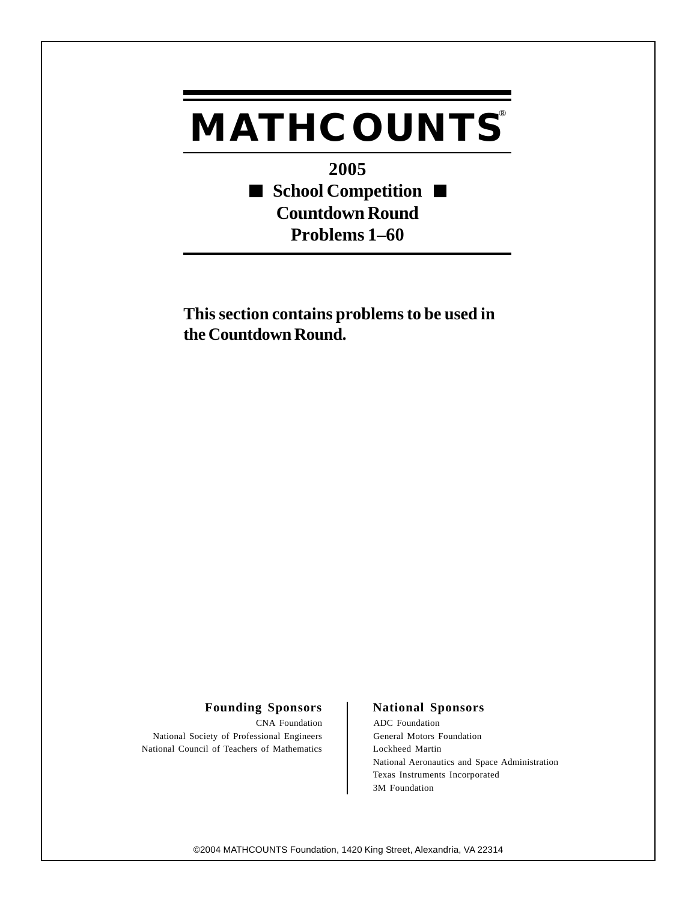## **MATHCOUNTS®**

**2005** ■ School Competition ■ **Countdown Round Problems 1–60**

**This section contains problems to be used in the Countdown Round.**

## Founding Sponsors | National Sponsors

CNA Foundation ADC Foundation National Society of Professional Engineers General Motors Foundation National Council of Teachers of Mathematics Lockheed Martin

National Aeronautics and Space Administration Texas Instruments Incorporated 3M Foundation

©2004 MATHCOUNTS Foundation, 1420 King Street, Alexandria, VA 22314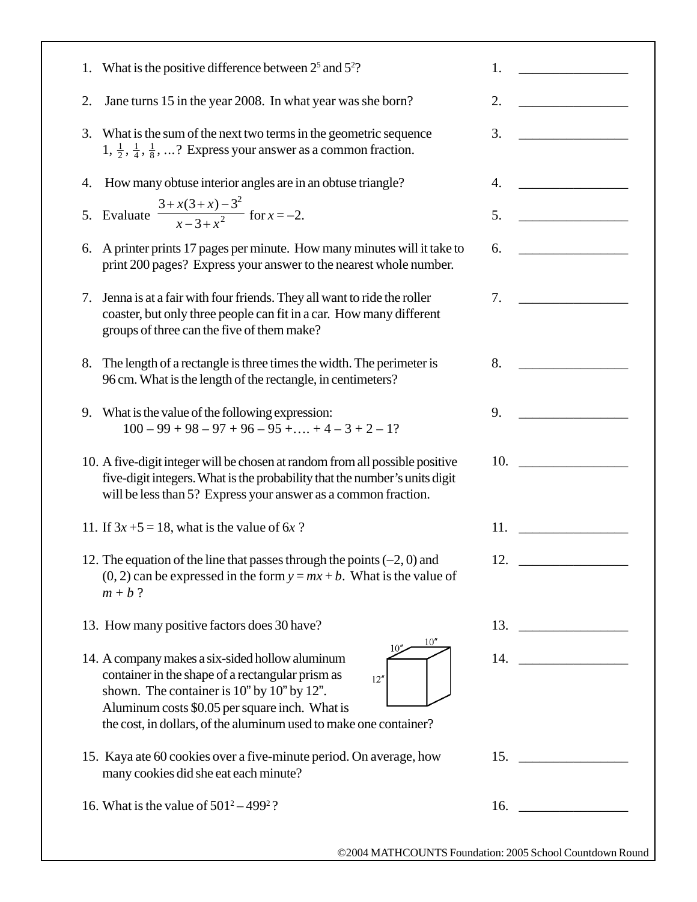| What is the positive difference between $2^5$ and $5^2$ ?<br>1.                                                                                                                                                                                                                  | 1.<br><u> 1989 - Jan Barbarat, politik e</u> ta p |
|----------------------------------------------------------------------------------------------------------------------------------------------------------------------------------------------------------------------------------------------------------------------------------|---------------------------------------------------|
| 2.<br>Jane turns 15 in the year 2008. In what year was she born?                                                                                                                                                                                                                 | 2.                                                |
| 3.<br>What is the sum of the next two terms in the geometric sequence<br>$1, \frac{1}{2}, \frac{1}{4}, \frac{1}{8}, \dots$ ? Express your answer as a common fraction.                                                                                                           | 3.                                                |
| How many obtuse interior angles are in an obtuse triangle?<br>4.                                                                                                                                                                                                                 | <u> 1990 - John Barn Barn, mars a</u><br>4.       |
| Evaluate $\frac{3 + x(3 + x) - 3^2}{x - 3 + x^2}$ for $x = -2$ .<br>5.                                                                                                                                                                                                           | 5.                                                |
| A printer prints 17 pages per minute. How many minutes will it take to<br>6.<br>print 200 pages? Express your answer to the nearest whole number.                                                                                                                                | 6.                                                |
| Jenna is at a fair with four friends. They all want to ride the roller<br>7.<br>coaster, but only three people can fit in a car. How many different<br>groups of three can the five of them make?                                                                                | 7.                                                |
| The length of a rectangle is three times the width. The perimeter is<br>8.<br>96 cm. What is the length of the rectangle, in centimeters?                                                                                                                                        | 8.                                                |
| What is the value of the following expression:<br>9.<br>$100 - 99 + 98 - 97 + 96 - 95 + \dots + 4 - 3 + 2 - 1?$                                                                                                                                                                  | 9.                                                |
| 10. A five-digit integer will be chosen at random from all possible positive<br>five-digit integers. What is the probability that the number's units digit<br>will be less than 5? Express your answer as a common fraction.                                                     | 10.                                               |
| 11. If $3x + 5 = 18$ , what is the value of 6x ?                                                                                                                                                                                                                                 | 11.                                               |
| 12. The equation of the line that passes through the points $(-2, 0)$ and<br>$(0, 2)$ can be expressed in the form $y = mx + b$ . What is the value of<br>$m + b$ ?                                                                                                              | 12.                                               |
| 13. How many positive factors does 30 have?                                                                                                                                                                                                                                      | 13.                                               |
| 14. A company makes a six-sided hollow aluminum<br>container in the shape of a rectangular prism as<br>12''<br>shown. The container is 10" by 10" by 12".<br>Aluminum costs \$0.05 per square inch. What is<br>the cost, in dollars, of the aluminum used to make one container? | 14.                                               |
| 15. Kaya ate 60 cookies over a five-minute period. On average, how<br>many cookies did she eat each minute?                                                                                                                                                                      | 15.                                               |
| 16. What is the value of $501^2 - 499^2$ ?                                                                                                                                                                                                                                       | 16.                                               |
|                                                                                                                                                                                                                                                                                  |                                                   |

٦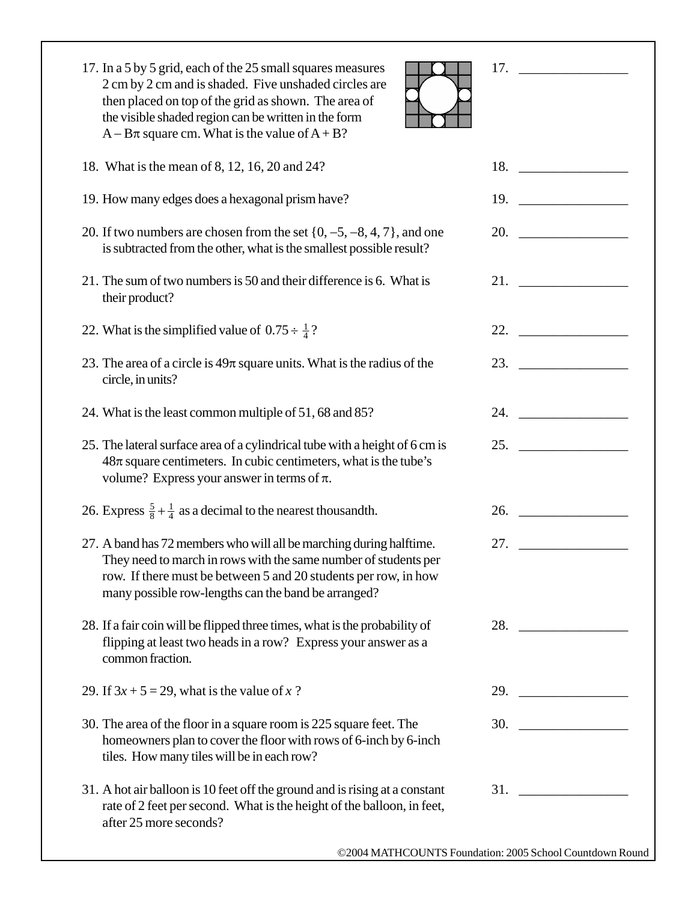| 17. In a 5 by 5 grid, each of the 25 small squares measures<br>2 cm by 2 cm and is shaded. Five unshaded circles are<br>then placed on top of the grid as shown. The area of<br>the visible shaded region can be written in the form<br>$A - B\pi$ square cm. What is the value of $A + B$ ? |                                                                                                                                                                                                                                     |
|----------------------------------------------------------------------------------------------------------------------------------------------------------------------------------------------------------------------------------------------------------------------------------------------|-------------------------------------------------------------------------------------------------------------------------------------------------------------------------------------------------------------------------------------|
| 18. What is the mean of 8, 12, 16, 20 and 24?                                                                                                                                                                                                                                                | 18. $\qquad$                                                                                                                                                                                                                        |
| 19. How many edges does a hexagonal prism have?                                                                                                                                                                                                                                              | 19. $\qquad \qquad$                                                                                                                                                                                                                 |
| 20. If two numbers are chosen from the set $\{0, -5, -8, 4, 7\}$ , and one<br>is subtracted from the other, what is the smallest possible result?                                                                                                                                            | 20.                                                                                                                                                                                                                                 |
| 21. The sum of two numbers is 50 and their difference is 6. What is<br>their product?                                                                                                                                                                                                        |                                                                                                                                                                                                                                     |
| 22. What is the simplified value of $0.75 \div \frac{1}{4}$ ?                                                                                                                                                                                                                                | 22.                                                                                                                                                                                                                                 |
| 23. The area of a circle is $49\pi$ square units. What is the radius of the<br>circle, in units?                                                                                                                                                                                             | 23. $\qquad \qquad$                                                                                                                                                                                                                 |
| 24. What is the least common multiple of 51, 68 and 85?                                                                                                                                                                                                                                      | 24.                                                                                                                                                                                                                                 |
| 25. The lateral surface area of a cylindrical tube with a height of 6 cm is<br>$48\pi$ square centimeters. In cubic centimeters, what is the tube's<br>volume? Express your answer in terms of $\pi$ .                                                                                       | 25. $\qquad \qquad$                                                                                                                                                                                                                 |
| 26. Express $\frac{5}{8} + \frac{1}{4}$ as a decimal to the nearest thousandth.                                                                                                                                                                                                              | <b>26.</b> The contract of the contract of the contract of the contract of the contract of the contract of the contract of the contract of the contract of the contract of the contract of the contract of the contract of the cont |
| 27. A band has 72 members who will all be marching during halftime.<br>They need to march in rows with the same number of students per<br>row. If there must be between 5 and 20 students per row, in how<br>many possible row-lengths can the band be arranged?                             | 27. $\qquad \qquad$                                                                                                                                                                                                                 |
| 28. If a fair coin will be flipped three times, what is the probability of<br>flipping at least two heads in a row? Express your answer as a<br>common fraction.                                                                                                                             | 28.                                                                                                                                                                                                                                 |
| 29. If $3x + 5 = 29$ , what is the value of x?                                                                                                                                                                                                                                               | 29. $\qquad$                                                                                                                                                                                                                        |
| 30. The area of the floor in a square room is 225 square feet. The<br>homeowners plan to cover the floor with rows of 6-inch by 6-inch<br>tiles. How many tiles will be in each row?                                                                                                         |                                                                                                                                                                                                                                     |
| 31. A hot air balloon is 10 feet off the ground and is rising at a constant<br>rate of 2 feet per second. What is the height of the balloon, in feet,<br>after 25 more seconds?                                                                                                              |                                                                                                                                                                                                                                     |
|                                                                                                                                                                                                                                                                                              | ©2004 MATHCOUNTS Foundation: 2005 School Countdown Round                                                                                                                                                                            |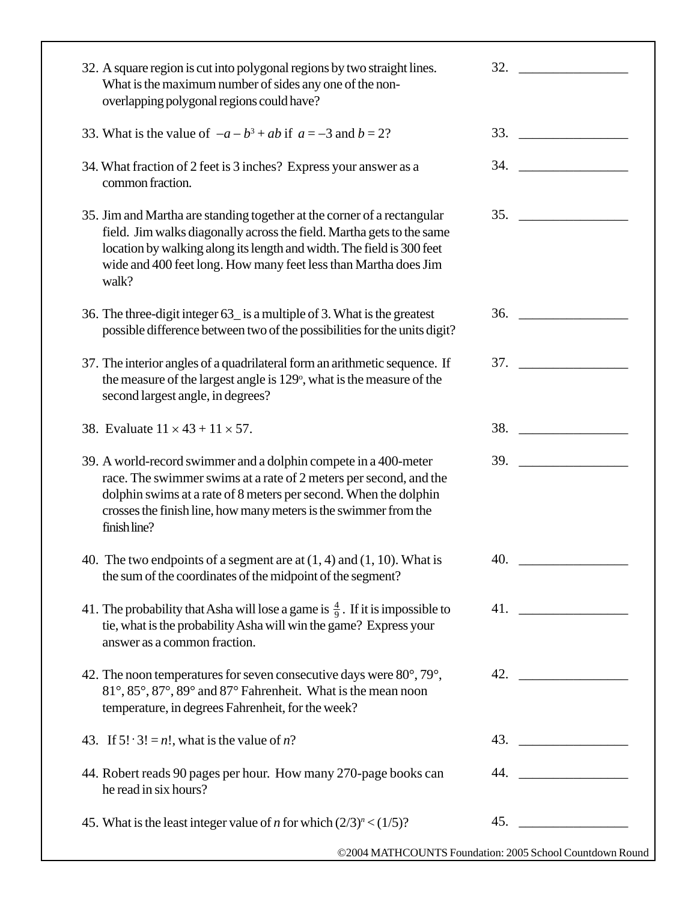| 32. A square region is cut into polygonal regions by two straight lines.<br>What is the maximum number of sides any one of the non-<br>overlapping polygonal regions could have?                                                                                                                      |                                                                                                                                                                                                                                    |
|-------------------------------------------------------------------------------------------------------------------------------------------------------------------------------------------------------------------------------------------------------------------------------------------------------|------------------------------------------------------------------------------------------------------------------------------------------------------------------------------------------------------------------------------------|
| 33. What is the value of $-a-b^3+ab$ if $a=-3$ and $b=2$ ?                                                                                                                                                                                                                                            |                                                                                                                                                                                                                                    |
| 34. What fraction of 2 feet is 3 inches? Express your answer as a<br>common fraction.                                                                                                                                                                                                                 | 34.                                                                                                                                                                                                                                |
| 35. Jim and Martha are standing together at the corner of a rectangular<br>field. Jim walks diagonally across the field. Martha gets to the same<br>location by walking along its length and width. The field is 300 feet<br>wide and 400 feet long. How many feet less than Martha does Jim<br>walk? |                                                                                                                                                                                                                                    |
| 36. The three-digit integer 63_ is a multiple of 3. What is the greatest<br>possible difference between two of the possibilities for the units digit?                                                                                                                                                 | 36.                                                                                                                                                                                                                                |
| 37. The interior angles of a quadrilateral form an arithmetic sequence. If<br>the measure of the largest angle is 129°, what is the measure of the<br>second largest angle, in degrees?                                                                                                               | <b>37. Samuel Strip Strip Strip Strip Strip Strip Strip Strip Strip Strip Strip Strip Strip Strip Strip Strip Strip Strip Strip Strip Strip Strip Strip Strip Strip Strip Strip Strip Strip Strip Strip Strip Strip Strip Stri</b> |
| 38. Evaluate $11 \times 43 + 11 \times 57$ .                                                                                                                                                                                                                                                          | 38.                                                                                                                                                                                                                                |
| 39. A world-record swimmer and a dolphin compete in a 400-meter<br>race. The swimmer swims at a rate of 2 meters per second, and the<br>dolphin swims at a rate of 8 meters per second. When the dolphin<br>crosses the finish line, how many meters is the swimmer from the<br>finish line?          | 39.                                                                                                                                                                                                                                |
| 40. The two endpoints of a segment are at $(1, 4)$ and $(1, 10)$ . What is<br>the sum of the coordinates of the midpoint of the segment?                                                                                                                                                              | 40.                                                                                                                                                                                                                                |
| 41. The probability that Asha will lose a game is $\frac{4}{9}$ . If it is impossible to<br>tie, what is the probability Asha will win the game? Express your<br>answer as a common fraction.                                                                                                         |                                                                                                                                                                                                                                    |
| 42. The noon temperatures for seven consecutive days were $80^{\circ}$ , $79^{\circ}$ ,<br>81°, 85°, 87°, 89° and 87° Fahrenheit. What is the mean noon<br>temperature, in degrees Fahrenheit, for the week?                                                                                          |                                                                                                                                                                                                                                    |
| 43. If $5! \cdot 3! = n!$ , what is the value of n?                                                                                                                                                                                                                                                   |                                                                                                                                                                                                                                    |
| 44. Robert reads 90 pages per hour. How many 270-page books can<br>he read in six hours?                                                                                                                                                                                                              | 44.                                                                                                                                                                                                                                |
| 45. What is the least integer value of <i>n</i> for which $(2/3)^n < (1/5)$ ?                                                                                                                                                                                                                         | 45.                                                                                                                                                                                                                                |
|                                                                                                                                                                                                                                                                                                       |                                                                                                                                                                                                                                    |

©2004 MATHCOUNTS Foundation: 2005 School Countdown Round